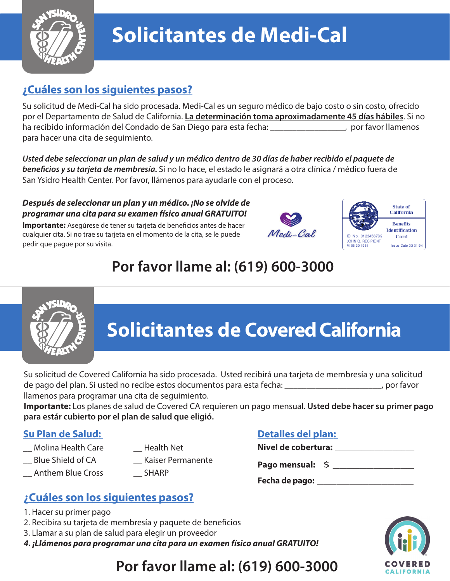

# **Solicitantes de Medi-Cal**

### **¿Cuáles son los siguientes pasos?**

Su solicitud de Medi-Cal ha sido procesada. Medi-Cal es un seguro médico de bajo costo o sin costo, ofrecido por el Departamento de Salud de California. **La determinación toma aproximadamente 45 días hábiles**. Si no ha recibido información del Condado de San Diego para esta fecha: \_\_\_\_\_\_\_\_\_\_\_\_\_\_\_\_\_, por favor llamenos para hacer una cita de seguimiento.

*Usted debe seleccionar un plan de salud y un médico dentro de 30 días de haber recibido el paquete de*  beneficios y su tarjeta de membresía. Si no lo hace, el estado le asignará a otra clínica / médico fuera de San Ysidro Health Center. Por favor, llámenos para ayudarle con el proceso.

#### *Después de seleccionar un plan y un médico. ¡No se olvide de programar una cita para su examen físico anual GRATUITO!*

**Importante:** Asegúrese de tener su tarjeta de beneficios antes de hacer cualquier cita. Si no trae su tarjeta en el momento de la cita, se le puede pedir que pague por su visita.





## **Por favor llame al: (619) 600-3000**



# **Solicitantes de Covered California**

Su solicitud de Covered California ha sido procesada. Usted recibirá una tarjeta de membresía y una solicitud de pago del plan. Si usted no recibe estos documentos para esta fecha: \_\_\_\_\_\_\_\_\_\_\_\_\_\_\_\_\_\_\_\_\_\_, por favor llamenos para programar una cita de seguimiento.

**Importante:** Los planes de salud de Covered CA requieren un pago mensual. **Usted debe hacer su primer pago para estár cubierto por el plan de salud que eligió.**

### **Su Plan de Salud:**

- \_\_ Molina Health Care
- \_\_ Blue Shield of CA
- \_\_ Anthem Blue Cross
- \_\_ Health Net
- \_\_ Kaiser Permanente
- \_\_ SHARP

### **Detalles del plan:**

| Nivel de cobertura: |  |
|---------------------|--|
| Pago mensual: \$    |  |

**Fecha de pago:** \_\_\_\_\_\_\_\_\_\_\_\_\_\_\_

## **¿Cuáles son los siguientes pasos?**

- 1. Hacer su primer pago
- 2. Recibira su tarjeta de membresía y paquete de beneficios
- 3. Llamar a su plan de salud para elegir un proveedor
- *4. ¡Llámenos para programar una cita para un examen físico anual GRATUITO!*



## **Por favor llame al: (619) 600-3000**